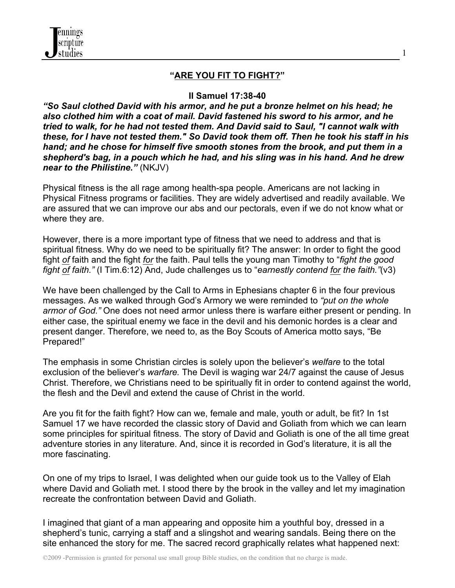

## **"ARE YOU FIT TO FIGHT?"**

#### **II Samuel 17:38-40**

*"So Saul clothed David with his armor, and he put a bronze helmet on his head; he also clothed him with a coat of mail. David fastened his sword to his armor, and he tried to walk, for he had not tested them. And David said to Saul, "I cannot walk with these, for I have not tested them." So David took them off. Then he took his staff in his hand; and he chose for himself five smooth stones from the brook, and put them in a shepherd's bag, in a pouch which he had, and his sling was in his hand. And he drew near to the Philistine."* (NKJV)

Physical fitness is the all rage among health-spa people. Americans are not lacking in Physical Fitness programs or facilities. They are widely advertised and readily available. We are assured that we can improve our abs and our pectorals, even if we do not know what or where they are.

However, there is a more important type of fitness that we need to address and that is spiritual fitness. Why do we need to be spiritually fit? The answer: In order to fight the good fight *of* faith and the fight *for* the faith. Paul tells the young man Timothy to "*fight the good fight of faith."* (I Tim.6:12) And, Jude challenges us to "*earnestly contend for the faith."*(v3)

We have been challenged by the Call to Arms in Ephesians chapter 6 in the four previous messages. As we walked through God's Armory we were reminded to *"put on the whole armor of God."* One does not need armor unless there is warfare either present or pending. In either case, the spiritual enemy we face in the devil and his demonic hordes is a clear and present danger. Therefore, we need to, as the Boy Scouts of America motto says, "Be Prepared!"

The emphasis in some Christian circles is solely upon the believer's *welfare* to the total exclusion of the believer's *warfare.* The Devil is waging war 24/7 against the cause of Jesus Christ. Therefore, we Christians need to be spiritually fit in order to contend against the world, the flesh and the Devil and extend the cause of Christ in the world.

Are you fit for the faith fight? How can we, female and male, youth or adult, be fit? In 1st Samuel 17 we have recorded the classic story of David and Goliath from which we can learn some principles for spiritual fitness. The story of David and Goliath is one of the all time great adventure stories in any literature. And, since it is recorded in God's literature, it is all the more fascinating.

On one of my trips to Israel, I was delighted when our guide took us to the Valley of Elah where David and Goliath met. I stood there by the brook in the valley and let my imagination recreate the confrontation between David and Goliath.

I imagined that giant of a man appearing and opposite him a youthful boy, dressed in a shepherd's tunic, carrying a staff and a slingshot and wearing sandals. Being there on the site enhanced the story for me. The sacred record graphically relates what happened next: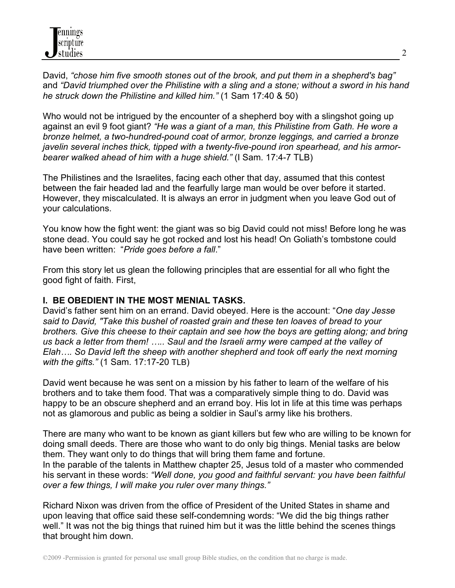David, *"chose him five smooth stones out of the brook, and put them in a shepherd's bag"* and *"David triumphed over the Philistine with a sling and a stone; without a sword in his hand he struck down the Philistine and killed him."* (1 Sam 17:40 & 50)

Who would not be intrigued by the encounter of a shepherd boy with a slingshot going up against an evil 9 foot giant? *"He was a giant of a man, this Philistine from Gath. He wore a bronze helmet, a two-hundred-pound coat of armor, bronze leggings, and carried a bronze javelin several inches thick, tipped with a twenty-five-pound iron spearhead, and his armorbearer walked ahead of him with a huge shield."* (I Sam. 17:4-7 TLB)

The Philistines and the Israelites, facing each other that day, assumed that this contest between the fair headed lad and the fearfully large man would be over before it started. However, they miscalculated. It is always an error in judgment when you leave God out of your calculations.

You know how the fight went: the giant was so big David could not miss! Before long he was stone dead. You could say he got rocked and lost his head! On Goliath's tombstone could have been written: "*Pride goes before a fall*."

From this story let us glean the following principles that are essential for all who fight the good fight of faith. First,

## **I. BE OBEDIENT IN THE MOST MENIAL TASKS.**

David's father sent him on an errand. David obeyed. Here is the account: "*One day Jesse said to David, "Take this bushel of roasted grain and these ten loaves of bread to your brothers. Give this cheese to their captain and see how the boys are getting along; and bring us back a letter from them! ….. Saul and the Israeli army were camped at the valley of Elah…. So David left the sheep with another shepherd and took off early the next morning with the gifts."* (1 Sam. 17:17-20 TLB)

David went because he was sent on a mission by his father to learn of the welfare of his brothers and to take them food. That was a comparatively simple thing to do. David was happy to be an obscure shepherd and an errand boy. His lot in life at this time was perhaps not as glamorous and public as being a soldier in Saul's army like his brothers.

There are many who want to be known as giant killers but few who are willing to be known for doing small deeds. There are those who want to do only big things. Menial tasks are below them. They want only to do things that will bring them fame and fortune. In the parable of the talents in Matthew chapter 25, Jesus told of a master who commended his servant in these words: *"Well done, you good and faithful servant: you have been faithful over a few things, I will make you ruler over many things."*

Richard Nixon was driven from the office of President of the United States in shame and upon leaving that office said these self-condemning words: "We did the big things rather well." It was not the big things that ruined him but it was the little behind the scenes things that brought him down.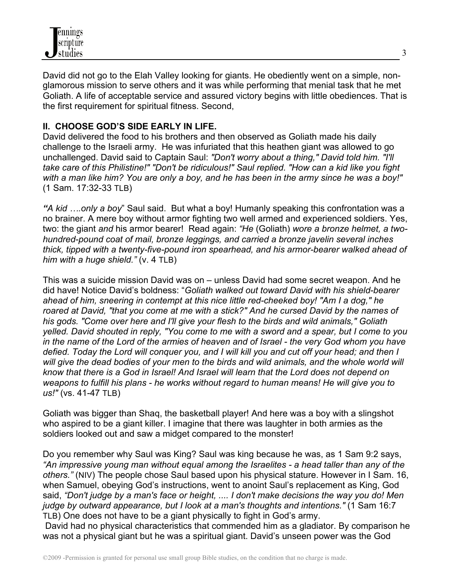

David did not go to the Elah Valley looking for giants. He obediently went on a simple, nonglamorous mission to serve others and it was while performing that menial task that he met Goliath. A life of acceptable service and assured victory begins with little obediences. That is the first requirement for spiritual fitness. Second,

# **II. CHOOSE GOD'S SIDE EARLY IN LIFE.**

David delivered the food to his brothers and then observed as Goliath made his daily challenge to the Israeli army. He was infuriated that this heathen giant was allowed to go unchallenged. David said to Captain Saul: *"Don't worry about a thing," David told him. "I'll take care of this Philistine!" "Don't be ridiculous!" Saul replied. "How can a kid like you fight with a man like him? You are only a boy, and he has been in the army since he was a boy!"*  (1 Sam. 17:32-33 TLB)

*"A kid ….only a boy*" Saul said. But what a boy! Humanly speaking this confrontation was a no brainer. A mere boy without armor fighting two well armed and experienced soldiers. Yes, two: the giant *and* his armor bearer! Read again: *"He* (Goliath) *wore a bronze helmet, a twohundred-pound coat of mail, bronze leggings, and carried a bronze javelin several inches thick, tipped with a twenty-five-pound iron spearhead, and his armor-bearer walked ahead of him with a huge shield."* (v. 4 TLB)

This was a suicide mission David was on – unless David had some secret weapon. And he did have! Notice David's boldness: "*Goliath walked out toward David with his shield-bearer ahead of him, sneering in contempt at this nice little red-cheeked boy! "Am I a dog," he roared at David, "that you come at me with a stick?" And he cursed David by the names of his gods. "Come over here and I'll give your flesh to the birds and wild animals," Goliath yelled. David shouted in reply, "You come to me with a sword and a spear, but I come to you in the name of the Lord of the armies of heaven and of Israel - the very God whom you have defied. Today the Lord will conquer you, and I will kill you and cut off your head; and then I*  will give the dead bodies of your men to the birds and wild animals, and the whole world will *know that there is a God in Israel! And Israel will learn that the Lord does not depend on weapons to fulfill his plans - he works without regard to human means! He will give you to us!"* (vs. 41-47 TLB)

Goliath was bigger than Shaq, the basketball player! And here was a boy with a slingshot who aspired to be a giant killer. I imagine that there was laughter in both armies as the soldiers looked out and saw a midget compared to the monster!

Do you remember why Saul was King? Saul was king because he was, as 1 Sam 9:2 says, *"An impressive young man without equal among the Israelites - a head taller than any of the others."* (NIV) The people chose Saul based upon his physical stature. However in I Sam. 16, when Samuel, obeying God's instructions, went to anoint Saul's replacement as King, God said, *"Don't judge by a man's face or height, .... I don't make decisions the way you do! Men judge by outward appearance, but I look at a man's thoughts and intentions."* (1 Sam 16:7 TLB) One does not have to be a giant physically to fight in God's army.

David had no physical characteristics that commended him as a gladiator. By comparison he was not a physical giant but he was a spiritual giant. David's unseen power was the God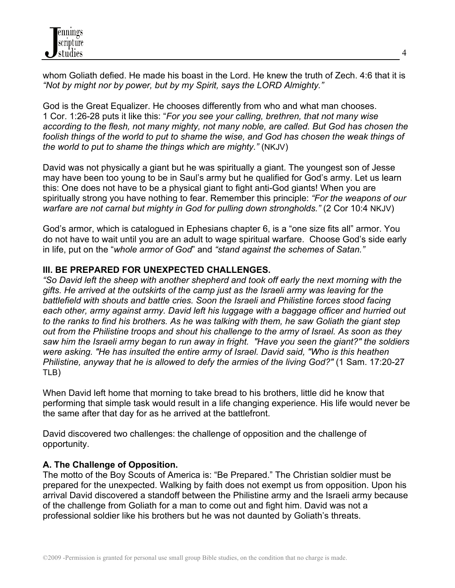

whom Goliath defied. He made his boast in the Lord. He knew the truth of Zech. 4:6 that it is *"Not by might nor by power, but by my Spirit, says the LORD Almighty."*

God is the Great Equalizer. He chooses differently from who and what man chooses. 1 Cor. 1:26-28 puts it like this: "*For you see your calling, brethren, that not many wise according to the flesh, not many mighty, not many noble, are called. But God has chosen the foolish things of the world to put to shame the wise, and God has chosen the weak things of the world to put to shame the things which are mighty."* (NKJV)

David was not physically a giant but he was spiritually a giant. The youngest son of Jesse may have been too young to be in Saul's army but he qualified for God's army. Let us learn this: One does not have to be a physical giant to fight anti-God giants! When you are spiritually strong you have nothing to fear. Remember this principle: *"For the weapons of our warfare are not carnal but mighty in God for pulling down strongholds."* (2 Cor 10:4 NKJV)

God's armor, which is catalogued in Ephesians chapter 6, is a "one size fits all" armor. You do not have to wait until you are an adult to wage spiritual warfare. Choose God's side early in life, put on the "*whole armor of God*" and *"stand against the schemes of Satan."* 

## **III. BE PREPARED FOR UNEXPECTED CHALLENGES.**

*"So David left the sheep with another shepherd and took off early the next morning with the gifts. He arrived at the outskirts of the camp just as the Israeli army was leaving for the battlefield with shouts and battle cries. Soon the Israeli and Philistine forces stood facing each other, army against army. David left his luggage with a baggage officer and hurried out to the ranks to find his brothers. As he was talking with them, he saw Goliath the giant step out from the Philistine troops and shout his challenge to the army of Israel. As soon as they saw him the Israeli army began to run away in fright. "Have you seen the giant?" the soldiers were asking. "He has insulted the entire army of Israel. David said, "Who is this heathen Philistine, anyway that he is allowed to defy the armies of the living God?"* (1 Sam. 17:20-27 TLB)

When David left home that morning to take bread to his brothers, little did he know that performing that simple task would result in a life changing experience. His life would never be the same after that day for as he arrived at the battlefront.

David discovered two challenges: the challenge of opposition and the challenge of opportunity.

### **A. The Challenge of Opposition.**

The motto of the Boy Scouts of America is: "Be Prepared." The Christian soldier must be prepared for the unexpected. Walking by faith does not exempt us from opposition. Upon his arrival David discovered a standoff between the Philistine army and the Israeli army because of the challenge from Goliath for a man to come out and fight him. David was not a professional soldier like his brothers but he was not daunted by Goliath's threats.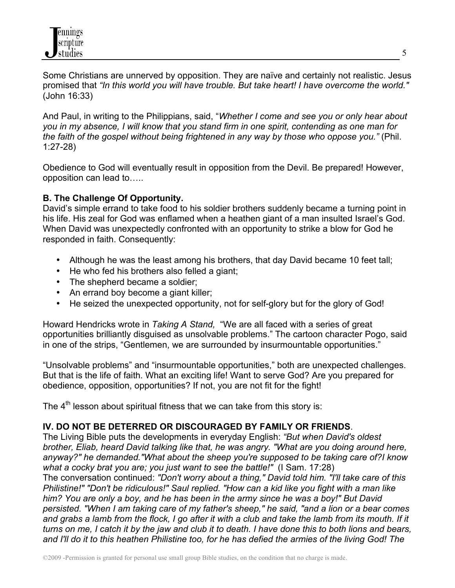

Some Christians are unnerved by opposition. They are naïve and certainly not realistic. Jesus promised that *"In this world you will have trouble. But take heart! I have overcome the world."* (John 16:33)

And Paul, in writing to the Philippians, said, "*Whether I come and see you or only hear about you in my absence, I will know that you stand firm in one spirit, contending as one man for the faith of the gospel without being frightened in any way by those who oppose you."* (Phil. 1:27-28)

Obedience to God will eventually result in opposition from the Devil. Be prepared! However, opposition can lead to…..

## **B. The Challenge Of Opportunity.**

David's simple errand to take food to his soldier brothers suddenly became a turning point in his life. His zeal for God was enflamed when a heathen giant of a man insulted Israel's God. When David was unexpectedly confronted with an opportunity to strike a blow for God he responded in faith. Consequently:

- Although he was the least among his brothers, that day David became 10 feet tall;
- He who fed his brothers also felled a giant;
- The shepherd became a soldier;
- An errand boy become a giant killer;
- He seized the unexpected opportunity, not for self-glory but for the glory of God!

Howard Hendricks wrote in *Taking A Stand,* "We are all faced with a series of great opportunities brilliantly disguised as unsolvable problems." The cartoon character Pogo, said in one of the strips, "Gentlemen, we are surrounded by insurmountable opportunities."

"Unsolvable problems" and "insurmountable opportunities," both are unexpected challenges. But that is the life of faith. What an exciting life! Want to serve God? Are you prepared for obedience, opposition, opportunities? If not, you are not fit for the fight!

The  $4<sup>th</sup>$  lesson about spiritual fitness that we can take from this story is:

## **IV. DO NOT BE DETERRED OR DISCOURAGED BY FAMILY OR FRIENDS**.

The Living Bible puts the developments in everyday English: *"But when David's oldest brother, Eliab, heard David talking like that, he was angry. "What are you doing around here, anyway?" he demanded."What about the sheep you're supposed to be taking care of?I know what a cocky brat you are; you just want to see the battle!"* (I Sam. 17:28) The conversation continued: *"Don't worry about a thing," David told him. "I'll take care of this Philistine!" "Don't be ridiculous!" Saul replied. "How can a kid like you fight with a man like him? You are only a boy, and he has been in the army since he was a boy!" But David persisted. "When I am taking care of my father's sheep," he said, "and a lion or a bear comes*  and grabs a lamb from the flock, I go after it with a club and take the lamb from its mouth. If it *turns on me, I catch it by the jaw and club it to death. I have done this to both lions and bears, and I'll do it to this heathen Philistine too, for he has defied the armies of the living God! The*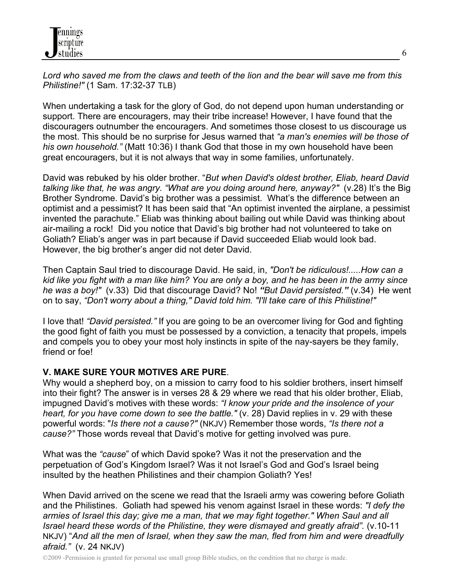*Lord who saved me from the claws and teeth of the lion and the bear will save me from this Philistine!"* (1 Sam. 17:32-37 TLB)

When undertaking a task for the glory of God, do not depend upon human understanding or support. There are encouragers, may their tribe increase! However, I have found that the discouragers outnumber the encouragers. And sometimes those closest to us discourage us the most. This should be no surprise for Jesus warned that *"a man's enemies will be those of his own household."* (Matt 10:36) I thank God that those in my own household have been great encouragers, but it is not always that way in some families, unfortunately.

David was rebuked by his older brother. "*But when David's oldest brother, Eliab, heard David talking like that, he was angry. "What are you doing around here, anyway?"* (v.28) It's the Big Brother Syndrome. David's big brother was a pessimist. What's the difference between an optimist and a pessimist? It has been said that "An optimist invented the airplane, a pessimist invented the parachute." Eliab was thinking about bailing out while David was thinking about air-mailing a rock! Did you notice that David's big brother had not volunteered to take on Goliath? Eliab's anger was in part because if David succeeded Eliab would look bad. However, the big brother's anger did not deter David.

Then Captain Saul tried to discourage David. He said, in, *"Don't be ridiculous!.....How can a kid like you fight with a man like him? You are only a boy, and he has been in the army since he was a boy!"* (v.33)Did that discourage David? No! *"But David persisted."* (v.34)He went on to say, *"Don't worry about a thing," David told him. "I'll take care of this Philistine!"* 

I love that! *"David persisted."* If you are going to be an overcomer living for God and fighting the good fight of faith you must be possessed by a conviction, a tenacity that propels, impels and compels you to obey your most holy instincts in spite of the nay-sayers be they family, friend or foe!

# **V. MAKE SURE YOUR MOTIVES ARE PURE**.

Why would a shepherd boy, on a mission to carry food to his soldier brothers, insert himself into their fight? The answer is in verses 28 & 29 where we read that his older brother, Eliab, impugned David's motives with these words: *"I know your pride and the insolence of your heart, for you have come down to see the battle."* (v. 28) David replies in v. 29 with these powerful words: "*Is there not a cause?"* (NKJV) Remember those words, *"Is there not a cause?"* Those words reveal that David's motive for getting involved was pure.

What was the *"cause*" of which David spoke? Was it not the preservation and the perpetuation of God's Kingdom Israel? Was it not Israel's God and God's Israel being insulted by the heathen Philistines and their champion Goliath? Yes!

When David arrived on the scene we read that the Israeli army was cowering before Goliath and the Philistines. Goliath had spewed his venom against Israel in these words: *"I defy the armies of Israel this day; give me a man, that we may fight together." When Saul and all Israel heard these words of the Philistine, they were dismayed and greatly afraid".* (v.10-11 NKJV) "*And all the men of Israel, when they saw the man, fled from him and were dreadfully afraid."* (v. 24 NKJV)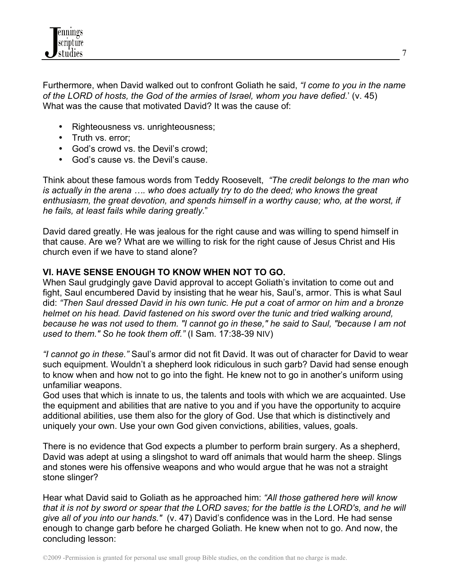

Furthermore, when David walked out to confront Goliath he said, *"I come to you in the name of the LORD of hosts, the God of the armies of Israel, whom you have defied.*' (v. 45) What was the cause that motivated David? It was the cause of:

- Righteousness vs. unrighteousness;
- Truth vs. error;
- God's crowd vs. the Devil's crowd;
- God's cause vs. the Devil's cause.

Think about these famous words from Teddy Roosevelt, *"The credit belongs to the man who is actually in the arena …. who does actually try to do the deed; who knows the great enthusiasm, the great devotion, and spends himself in a worthy cause; who, at the worst, if he fails, at least fails while daring greatly.*"

David dared greatly. He was jealous for the right cause and was willing to spend himself in that cause. Are we? What are we willing to risk for the right cause of Jesus Christ and His church even if we have to stand alone?

## **VI. HAVE SENSE ENOUGH TO KNOW WHEN NOT TO GO.**

When Saul grudgingly gave David approval to accept Goliath's invitation to come out and fight, Saul encumbered David by insisting that he wear his, Saul's, armor. This is what Saul did: *"Then Saul dressed David in his own tunic. He put a coat of armor on him and a bronze helmet on his head. David fastened on his sword over the tunic and tried walking around, because he was not used to them. "I cannot go in these," he said to Saul, "because I am not used to them." So he took them off."* (I Sam. 17:38-39 NIV)

*"I cannot go in these."* Saul's armor did not fit David. It was out of character for David to wear such equipment. Wouldn't a shepherd look ridiculous in such garb? David had sense enough to know when and how not to go into the fight. He knew not to go in another's uniform using unfamiliar weapons.

God uses that which is innate to us, the talents and tools with which we are acquainted. Use the equipment and abilities that are native to you and if you have the opportunity to acquire additional abilities, use them also for the glory of God. Use that which is distinctively and uniquely your own. Use your own God given convictions, abilities, values, goals.

There is no evidence that God expects a plumber to perform brain surgery. As a shepherd, David was adept at using a slingshot to ward off animals that would harm the sheep. Slings and stones were his offensive weapons and who would argue that he was not a straight stone slinger?

Hear what David said to Goliath as he approached him: *"All those gathered here will know that it is not by sword or spear that the LORD saves; for the battle is the LORD's, and he will give all of you into our hands."* (v. 47) David's confidence was in the Lord. He had sense enough to change garb before he charged Goliath. He knew when not to go. And now, the concluding lesson: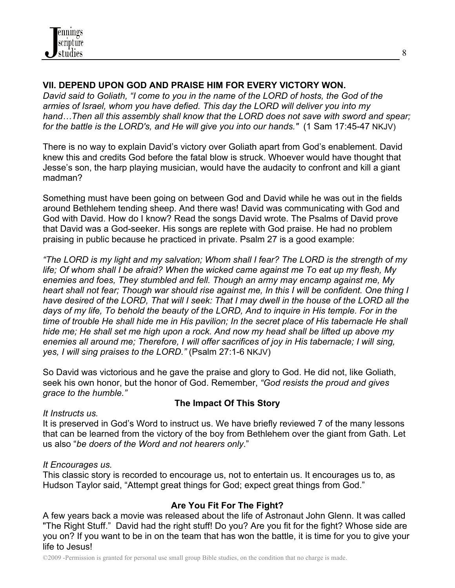

# **VII. DEPEND UPON GOD AND PRAISE HIM FOR EVERY VICTORY WON.**

*David said to Goliath, "I come to you in the name of the LORD of hosts, the God of the armies of Israel, whom you have defied. This day the LORD will deliver you into my hand…Then all this assembly shall know that the LORD does not save with sword and spear; for the battle is the LORD's, and He will give you into our hands."* (1 Sam 17:45-47 NKJV)

There is no way to explain David's victory over Goliath apart from God's enablement. David knew this and credits God before the fatal blow is struck. Whoever would have thought that Jesse's son, the harp playing musician, would have the audacity to confront and kill a giant madman?

Something must have been going on between God and David while he was out in the fields around Bethlehem tending sheep. And there was! David was communicating with God and God with David. How do I know? Read the songs David wrote. The Psalms of David prove that David was a God-seeker. His songs are replete with God praise. He had no problem praising in public because he practiced in private. Psalm 27 is a good example:

*"The LORD is my light and my salvation; Whom shall I fear? The LORD is the strength of my life; Of whom shall I be afraid? When the wicked came against me To eat up my flesh, My enemies and foes, They stumbled and fell. Though an army may encamp against me, My heart shall not fear; Though war should rise against me, In this I will be confident. One thing I have desired of the LORD, That will I seek: That I may dwell in the house of the LORD all the days of my life, To behold the beauty of the LORD, And to inquire in His temple. For in the time of trouble He shall hide me in His pavilion; In the secret place of His tabernacle He shall hide me; He shall set me high upon a rock. And now my head shall be lifted up above my enemies all around me; Therefore, I will offer sacrifices of joy in His tabernacle; I will sing, yes, I will sing praises to the LORD."* (Psalm 27:1-6 NKJV)

So David was victorious and he gave the praise and glory to God. He did not, like Goliath, seek his own honor, but the honor of God. Remember, *"God resists the proud and gives grace to the humble."* 

## **The Impact Of This Story**

### *It Instructs us.*

It is preserved in God's Word to instruct us. We have briefly reviewed 7 of the many lessons that can be learned from the victory of the boy from Bethlehem over the giant from Gath. Let us also "*be doers of the Word and not hearers only*."

## *It Encourages us.*

This classic story is recorded to encourage us, not to entertain us. It encourages us to, as Hudson Taylor said, "Attempt great things for God; expect great things from God."

# **Are You Fit For The Fight?**

A few years back a movie was released about the life of Astronaut John Glenn. It was called "The Right Stuff." David had the right stuff! Do you? Are you fit for the fight? Whose side are you on? If you want to be in on the team that has won the battle, it is time for you to give your life to Jesus!